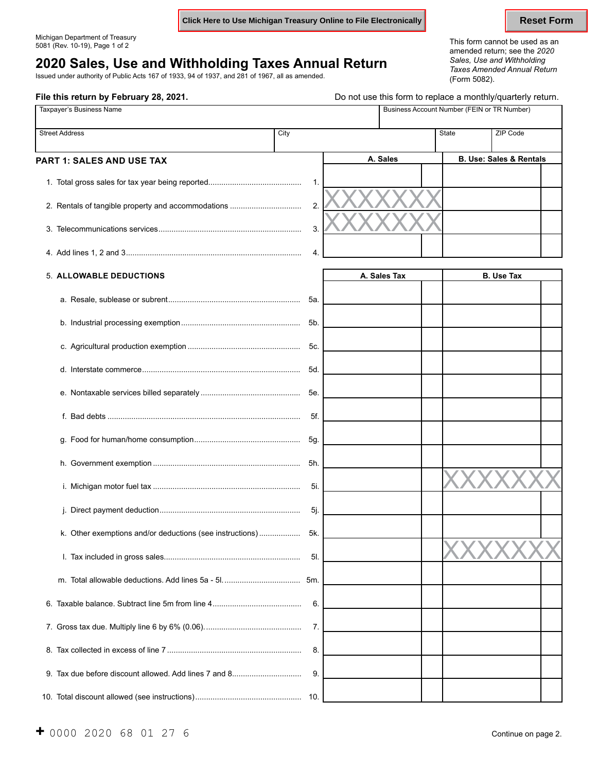**Click Here to Use Michigan Treasury Online to File Electronically <b>Reset Form** Reset Form

**File this return by February 28, 2021. Do not use this form to replace a monthly/quarterly return.** 

## **2020 Sales, Use and Withholding Taxes Annual Return** *Sales, Use and Withholding*

Issued under authority of Public Acts 167 of 1933, 94 of 1937, and 281 of 1967, all as amended. (Form 5082).

Michigan Department of Treasury This form cannot be used as an 5081 (Rev. 10-19), Page 1 of 2 amended return; see the *<sup>2020</sup> Taxes Amended Annual Return*

| Taxpayer's Business Name                                 |     |                  | Business Account Number (FEIN or TR Number) |                   |                                        |                                    |
|----------------------------------------------------------|-----|------------------|---------------------------------------------|-------------------|----------------------------------------|------------------------------------|
| <b>Street Address</b><br>PART 1: SALES AND USE TAX       |     | City<br>A. Sales |                                             | <b>State</b>      | ZIP Code                               |                                    |
|                                                          |     |                  |                                             |                   |                                        | <b>B. Use: Sales &amp; Rentals</b> |
|                                                          | 1.  |                  |                                             |                   |                                        |                                    |
| 2. Rentals of tangible property and accommodations       | 2.  |                  |                                             |                   |                                        |                                    |
|                                                          | 3.  |                  |                                             |                   |                                        |                                    |
|                                                          | 4.  |                  |                                             |                   |                                        |                                    |
| <b>5. ALLOWABLE DEDUCTIONS</b>                           |     |                  | A. Sales Tax                                |                   | <b>B. Use Tax</b>                      |                                    |
|                                                          | 5a. |                  |                                             |                   |                                        |                                    |
|                                                          | 5b. |                  |                                             |                   |                                        |                                    |
|                                                          | 5c. |                  |                                             |                   |                                        |                                    |
|                                                          | 5d. |                  |                                             |                   |                                        |                                    |
|                                                          | 5e. |                  |                                             |                   |                                        |                                    |
|                                                          | 5f. |                  |                                             |                   |                                        |                                    |
|                                                          | 5g. |                  |                                             |                   |                                        |                                    |
|                                                          | 5h. |                  |                                             |                   |                                        |                                    |
|                                                          | 5i. |                  |                                             |                   |                                        |                                    |
|                                                          | 5j. |                  |                                             |                   |                                        |                                    |
| k. Other exemptions and/or deductions (see instructions) | 5k. |                  |                                             | <b>73.73</b><br>V | $\overline{ }$<br>$\overline{ }$<br>∕ヽ | ╱╲                                 |
|                                                          | 5I. |                  |                                             |                   |                                        |                                    |
|                                                          | 5m. |                  |                                             |                   |                                        |                                    |
|                                                          | 6.  |                  |                                             |                   |                                        |                                    |
|                                                          | 7.  |                  |                                             |                   |                                        |                                    |
|                                                          | 8.  |                  |                                             |                   |                                        |                                    |
| 9. Tax due before discount allowed. Add lines 7 and 8    | 9.  |                  |                                             |                   |                                        |                                    |
|                                                          |     |                  |                                             |                   |                                        |                                    |

10. Total discount allowed (see instructions) ................................................. 10.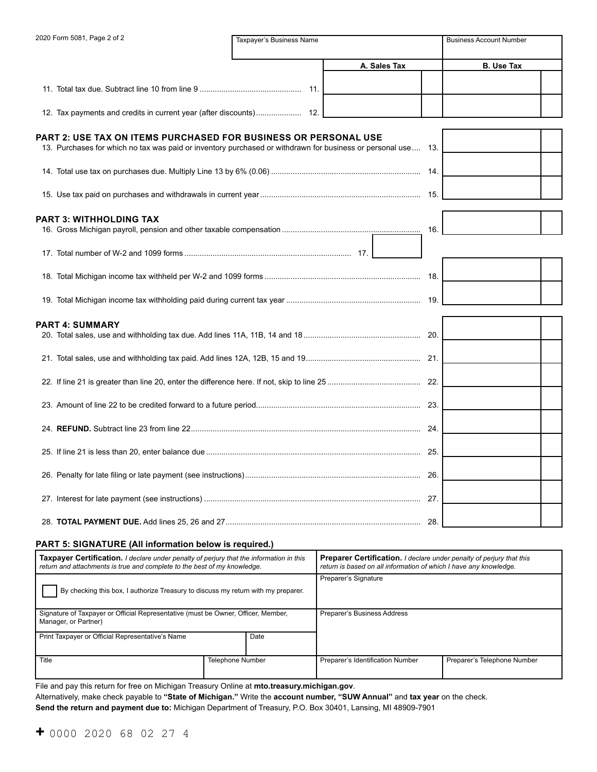| 2020 Form 5081, Page 2 of 2                                                                                                                                                      | Taxpayer's Business Name |              | <b>Business Account Number</b> |
|----------------------------------------------------------------------------------------------------------------------------------------------------------------------------------|--------------------------|--------------|--------------------------------|
|                                                                                                                                                                                  |                          | A. Sales Tax | <b>B.</b> Use Tax              |
|                                                                                                                                                                                  |                          |              |                                |
|                                                                                                                                                                                  |                          |              |                                |
| PART 2: USE TAX ON ITEMS PURCHASED FOR BUSINESS OR PERSONAL USE<br>13. Purchases for which no tax was paid or inventory purchased or withdrawn for business or personal use  13. |                          |              |                                |
|                                                                                                                                                                                  |                          |              |                                |
|                                                                                                                                                                                  |                          |              |                                |
| PART 3: WITHHOLDING TAX                                                                                                                                                          |                          | 16.          |                                |
|                                                                                                                                                                                  |                          |              |                                |
|                                                                                                                                                                                  |                          |              |                                |
|                                                                                                                                                                                  |                          |              |                                |
| PART 4: SUMMARY                                                                                                                                                                  |                          |              |                                |
|                                                                                                                                                                                  |                          |              |                                |
|                                                                                                                                                                                  |                          |              |                                |
|                                                                                                                                                                                  |                          |              |                                |
|                                                                                                                                                                                  |                          |              |                                |
|                                                                                                                                                                                  |                          |              |                                |
|                                                                                                                                                                                  |                          |              |                                |
|                                                                                                                                                                                  |                          |              |                                |
|                                                                                                                                                                                  |                          |              |                                |
|                                                                                                                                                                                  |                          |              |                                |

### **PART 5: SIGNATURE (All information below is required.)**

| <b>Taxpayer Certification.</b> I declare under penalty of perjury that the information in this<br>return and attachments is true and complete to the best of my knowledge. |                         | <b>Preparer Certification.</b> I declare under penalty of perjury that this<br>return is based on all information of which I have any knowledge. |                             |  |
|----------------------------------------------------------------------------------------------------------------------------------------------------------------------------|-------------------------|--------------------------------------------------------------------------------------------------------------------------------------------------|-----------------------------|--|
| By checking this box, I authorize Treasury to discuss my return with my preparer.                                                                                          |                         | Preparer's Signature                                                                                                                             |                             |  |
| Signature of Taxpayer or Official Representative (must be Owner, Officer, Member,<br>Manager, or Partner)                                                                  |                         | Preparer's Business Address                                                                                                                      |                             |  |
| Print Taxpayer or Official Representative's Name                                                                                                                           | Date                    |                                                                                                                                                  |                             |  |
| Title                                                                                                                                                                      | <b>Telephone Number</b> | Preparer's Identification Number                                                                                                                 | Preparer's Telephone Number |  |

File and pay this return for free on Michigan Treasury Online at **mto.treasury.michigan.gov**.

Alternatively, make check payable to **"State of Michigan."** Write the **account number, "SUW Annual"** and **tax year** on the check.

**Send the return and payment due to:** Michigan Department of Treasury, P.O. Box 30401, Lansing, MI 48909-7901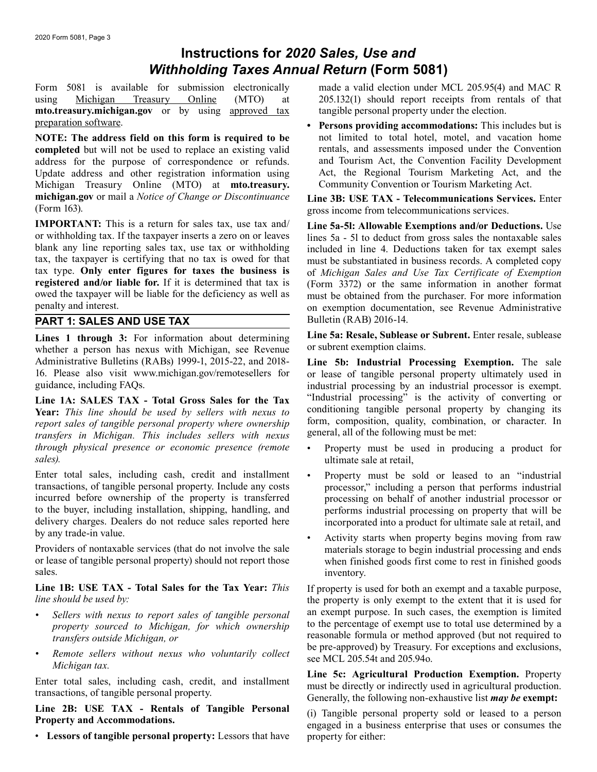## **Instructions for** *2020 Sales, Use and Withholding Taxes Annual Return* **(Form 5081)**

using Michigan Treasury Online (MTO) at 205.132(1) should report receipts from rentals of that **mto.treasury.michigan.gov** or by using approved tax tangible personal property under the election.<br> **Persons providing accommodations:** This is

**completed** but will not be used to replace an existing valid rentals, and assessments imposed under the Convention address for the purpose of correspondence or refunds. and Tourism Act, the Convention Facility Development address for the purpose of correspondence or refunds. and Tourism Act, the Convention Facility Development<br>Update address and other registration information using Act, the Regional Tourism Marketing Act, and the Update address and other registration information using Act, the Regional Tourism Marketing Act, and Michigan Treasury Online (MTO) at **mto.treasury.** Community Convention or Tourism Marketing Act. Michigan Treasury Online (MTO) at **mto.treasury. michigan.gov** or mail a *Notice of Change or Discontinuance* **Line 3B: USE TAX - Telecommunications Services.** Enter (Form 163).

**IMPORTANT:** This is a return for sales tax, use tax and/<br>or withholding tax. If the taxpayer inserts a zero on or leaves lines 5a - 5l to deduct from gross sales the nontaxable sales or withholding tax. If the taxpayer inserts a zero on or leaves lines 5a - 5l to deduct from gross sales the nontaxable sales<br>blank any line reporting sales tax, use tax or withholding included in line 4. Deductions taken blank any line reporting sales tax, use tax or withholding included in line 4. Deductions taken for tax exempt sales tax, the taxpayer is certifying that no tax is owed for that must be substantiated in business records. A tax, the taxpayer is certifying that no tax is owed for that must be substantiated in business records. A completed copy tax type. Only enter figures for taxes the business is of Michigan Sales and Use Tax Certificate of E tax type. **Only enter figures for taxes the business is** of *Michigan Sales and Use Tax Certificate of Exemption*  owed the taxpayer will be liable for the deficiency as well as must be obtained from the purchaser. For more information penalty and interest.

### **PART 1: SALES AND USE TAX** Bulletin (RAB) 2016-14.

whether a person has nexus with Michigan, see Revenue Administrative Bulletins (RABs) 1999-1, 2015-22, and 2018-<br>16. Please also visit www.michigan.gov/remotesellers for or lease of tangible personal property ultimately used in 16. Please also visit www.michigan.gov/remotesellers for or lease of tangible personal property ultimately used in guidance, including FAQs.<br>industrial processing by an industrial processor is exempt.

**Year:** *This line should be used by sellers with nexus to* conditioning tangible personal property by changing its *report sales of tangible personal property where ownership* form, composition, quality, combination, transfers in Michigan. This includes sellers with nexus general, all of the following must be met: *transfers in Michigan. This includes sellers with nexus through physical presence or economic presence (remote through physical presence or economic presence (remote* • Property must be used in producing a product for

Enter total sales, including cash, credit and installment • Property must be sold or leased to an "industrial transactions, of tangible personal property. Include any costs transactions, of tangible personal property. Include any costs processor," including a person that performs industrial incurred before ownership of the property is transferred processing on behalf of another industrial pro to the buyer, including installation, shipping, handling, and delivery charges. Dealers do not reduce sales reported here incorporated into a product for ultimate sale at retail, and<br>by any trade-in value.

Providers of nontaxable services (that do not involve the sale materials storage to begin industrial processing and ends<br>or lease of tangible personal property) should not report those when finished goods first come to res sales. inventory.

# **Line 1B: USE TAX - Total Sales for the Tax Year:** *This* If property is used for both an exempt and a taxable purpose,

- *property sourced to Michigan, for which ownership*
- 

**Line 2B: USE TAX - Rentals of Tangible Personal** (i) Tangible personal property sold or leased to a person engaged in a business enterprise that uses or consumes the

• **Lessors of tangible personal property:** Lessors that have property for either:

Form 5081 is available for submission electronically made a valid election under MCL 205.95(4) and MAC R

• Persons providing accommodations: This includes but is **NOTE:** The address field on this form is required to be <br> **not** limited to total hotel, motel, and vacation home<br> **completed** but will not be used to replace an existing valid rentals, and assessments imposed under the Co

gross income from telecommunications services.

(Form 3372) or the same information in another format on exemption documentation, see Revenue Administrative

**Lines 1 through 3:** For information about determining **Line 5a: Resale, Sublease or Subrent.** Enter resale, sublease whether a nerson has nexus with Michigan see Revenue or subrent exemption claims.

industrial processing by an industrial processor is exempt.<br>
"Industrial processing" is the activity of converting or **Line 1A: SALES TAX - Total Gross Sales for the Tax** "Industrial processing" is the activity of converting or **Near:** This line should be used by sellers with nexus to conditioning tangible personal property by changing it

- *sales).* ultimate sale at retail,
- processing on behalf of another industrial processor or performs industrial processing on property that will be
- by any trade-in value.<br>
Providers of nontaxable services (that do not involve the sale and ends materials storage to begin industrial processing and ends when finished goods first come to rest in finished goods

*line should be used by:* the property is only exempt to the extent that it is used for *Sellers with nexus to report sales of tangible personal* an exempt purpose. In such cases, the exemption is limited *property sourced to Michigan for which ownership* to the percentage of exempt use to total use determine *transfers outside Michigan, or reasonable formula or method approved (but not required to*<br>be pre-approved) by Treasury. For exceptions and exclusions,

• Remote sellers without nexus who voluntarily collect be pre-approved) by Treasury. For exceptions and exclusions,<br>Michigan tax.<br>Enter total sales, including cash, credit, and installment time 5c: Agricultural Production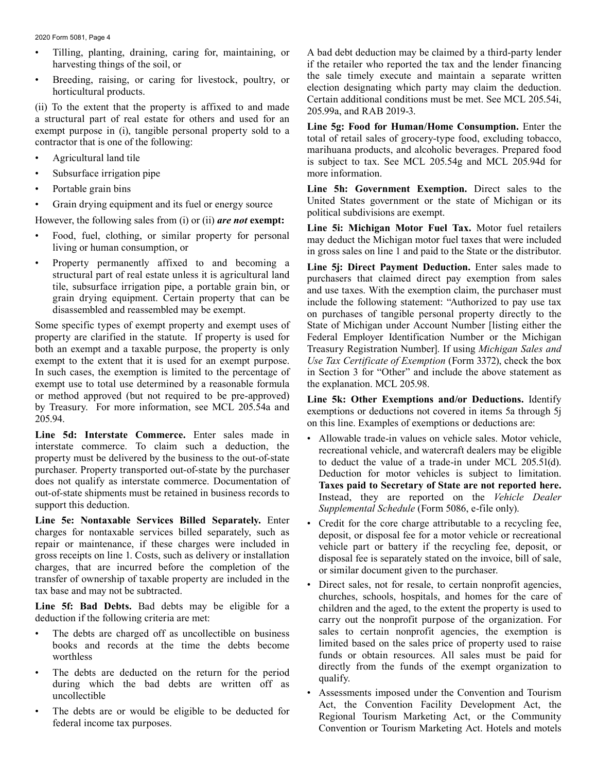2020 Form 5081, Page 4

- 
- 

• Breeding, raising, or caring for livestock, poultry, or<br>
horticultural products.<br>
(ii) To the extent that the property is affixed to and made<br>
(ii) To the extent that the property is affixed to and made<br>
a structural par

- 
- Subsurface irrigation pipe more information.
- 
- 

- 
- Property permanently affixed to and becoming a **Line 5j: Direct Payment Deduction.** Enter sales made to

Some specific types of exempt property and exempt uses of State of Michigan under Account Number [listing either the property are clarified in the statute. If property is used for Federal Employer Identification Number or the Michigan both an exempt and a taxable purpose, the property is only Treasury Registration Number]. If using *Michigan Sales and*  exempt to the extent that it is used for an exempt purpose. *Use Tax Certificate of Exemption* (Form 3372), check the box In such cases, the exemption is limited to the percentage of in Section 3 for "Other" and include the above statement as exempt use to total use determined by a reasonable formula the explanation. MCL 205.98. or method approved (but not required to be pre-approved) Line 5k: Other Exemptions and/or Deductions. Identify<br>by Treasury. For more information, see MCL 205.54a and exemptions or deductions not covered in items 5a through

**Line 5d: Interstate Commerce.** Enter sales made in <br>interstate commerce. To claim such a deduction, the<br>property must be delivered by the business to the out-of-state<br>purchaser. Property transported out-of-state by the pu

**Line 5e: Nontaxable Services Billed Separately.** Enter<br>
charges for nontaxable services billed separately, such as<br>
repair or maintenance, if these charges were included in<br>
repair or maintenance, if these charges were in

- books and records at the time the debts become
- The debts are deducted on the return for the period during which the bad debts are written off as qualify.
- 

Filling, planting, draining, caring for, maintaining, or A bad debt deduction may be claimed by a third-party lender harvesting things of the soil, or if the retailer who reported the tax and the lender financing if the retailer who reported the tax and the lender financing<br>the sale timely execute and maintain a separate written

• Portable grain bins **Line 5h: Government Exemption.** Direct sales to the • Grain drying equipment and its fuel or energy source<br>
However, the following sales from (i) or (ii) **are not exempt:**<br>
• Food, fuel, clothing, or similar property for personal<br>
• Food, fuel, clothing, or similar property

Food, fuel, clothing, or similar property for personal may deduct the Michigan motor fuel taxes that were included living or human consumption, or in gross sales on line 1 and paid to the State or the distributor.

structural part of real estate unless it is agricultural land<br>tile, subsurface irrigation pipe, a portable grain bin, or<br>grain drying equipment. Certain property that can be<br>disassembled and reassembled may be exempt.<br>on p

- out-of-state shipments must be retained in business records to **Instead**, they are reported on the *Vehicle Dealer* support this deduction.<br>Supplemental Schedule (Form 5086, e-file only).
	-
- **Line 5f: Bad Debts.** Bad debts may be eligible for a children and the aged, to the extent the property is used to deduction if the following criteria are met: carry out the nonprofit purpose of the organization. For The debts are charged off as uncollectible on business sales to certain nonprofit agencies, the exemption is books and records at the time the debts become limited based on the sales price of property used to raise worthless funds or obtain resources. All sales must be paid for<br>The label of the scenarization to
	- uncollectible Assessments imposed under the Convention and Tourism<br>
	Figure 1.1 and 1.1 and 1.1 and 1.2 and 1.2 and 1.2 and 1.2 and 1.2 and 1.2 and 1.2 and 1.2 and 1.2 and 1.2 and 1.2 and 1.2 and 1.2 and 1.2 and 1.2 and 1 The debts are or would be eligible to be deducted for<br>
	Regional Tourism Marketing Act, or the Community<br>
	Convention or Tourism Marketing Act. Hotels and motels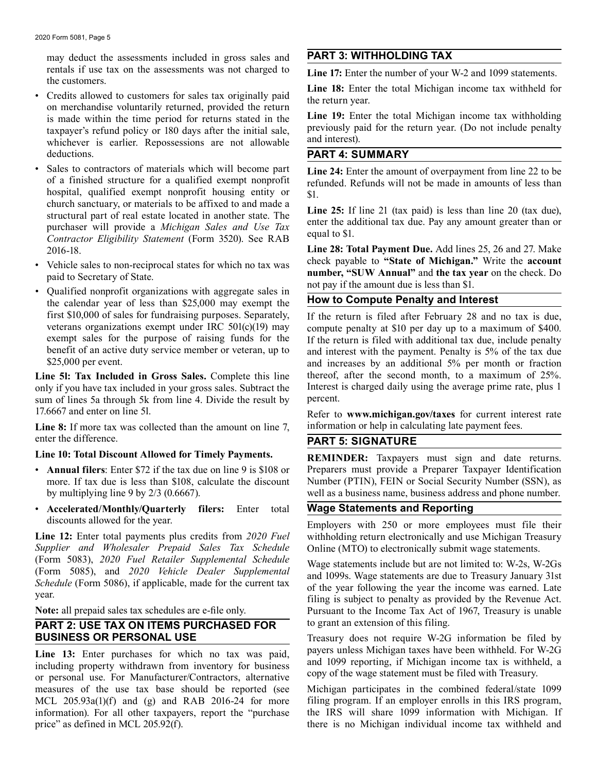may deduct the assessments included in gross sales and **PART 3: WITHHOLDING TAX** rentals if use tax on the assessments was not charged to **Line 17:** Enter the number of your W-2 and 1099 statements. the customers.

- Credits allowed to customers for sales tax originally paid<br>on merchandise voluntarily returned, provided the return<br>is made within the time period for returns stated in the<br>**Line 19:** Enter the total Michigan income tax taxpayer's refund policy or 180 days after the initial sale, previously paid interest. whichever is earlier. Repossessions are not allowable deductions. **PART 4: SUMMARY**
- Sales to contractors of materials which will become part<br>of a finished structure for a qualified exempt nonprofit<br>refunded. Refunds will not be made in amounts of less than hospital, qualified exempt nonprofit housing entity or  $$1$ .<br>church sanctuary, or materials to be affixed to and made a enter and that is a structural part of real estate located in another state. The **25:** If line 21 (tax paid) is less than line 20 (tax due), purchaser will provide a *Michigan Sales and Use Tax* contractor Eligibility Stat
- 
- Qualified nonprofit organizations with aggregate sales in the calendar year of less than \$25,000 may exempt the **How to Compute Penalty and Interest** first \$10,000 of sales for fundraising purposes. Separately, If the return is filed after February 28 and no tax is due, veterans organizations exempt under IRC 501(c)(19) may compute penalty at \$10 per day up to a maximum

only if you have tax included in your gross sales. Subtract the sum of lines 5a through 5k from line 4. Divide the result by percent. 17.6667 and enter on line 5l.

Line 8: If more tax was collected than the amount on line 7, information or help in calculating late payment fees. enter the difference. **PART 5: SIGNATURE** 

- 
- **Accelerated/Monthly/Quarterly filers:** Enter total **Wage Statements and Reporting** discounts allowed for the year.

*Supplier and Wholesaler Prepaid Sales Tax Schedule* Online (MTO) to electronically submit wage statements.<br>(Form 5083), 2020 Fuel Retailer Supplemental Schedule Wage statements include by example for W.2s W.

# **PART 2: USE TAX ON ITEMS PURCHASED FOR BUSINESS OR PERSONAL USE**

**Line 13:** Enter purchases for which no tax was paid, payers unless Michigan taxes have been withheld. For W-2G including property withdrawn from inventory for business and 1099 reporting, if Michigan income tax is withhel MCL 205.93a(1)(f) and (g) and RAB 2016-24 for more filing program. If an employer enrolls in this IRS program, information). For all other taxpayers, report the "purchase the IRS will share 1099 information with Michigan. information). For all other taxpayers, report the "purchase price" as defined in MCL 205.92(f).

Line 18: Enter the total Michigan income tax withheld for

is made within the time period for returns stated in the **Line 19:** Enter the total Michigan income tax withholding<br>taxnaver's refund policy or 180 days after the initial sale previously paid for the return year. (Do not i

2016-18. **Line 28: Total Payment Due.** Add lines 25, 26 and 27. Make • Vehicle sales to non-reciprocal states for which no tax was<br>paid to Secretary of State.<br>not pay if the amount due is less than \$1.

veterans organizations exempt under IRC 501(c)(19) may compute penalty at \$10 per day up to a maximum of \$400.<br>exempt sales for the purpose of raising funds for the If the return is filed with additional tax due, include p exempt sales for the purpose of raising funds for the If the return is filed with additional tax due, include penalty<br>benefit of an active duty service member or veteran, up to and interest with the payment. Penalty is 5% benefit of an active duty service member or veteran, up to and interest with the payment. Penalty is 5% of the tax due<br>\$25.000 per event. and increases by an additional 5% per month or fraction Line 51: Tax Included in Gross Sales. Complete this line thereof, after the second month, to a maximum of 25%.<br>
only if you have tax included in your gross sales. Subtract the Interest is charged daily using the average pr

Line 10: Total Discount Allowed for Timely Payments. REMINDER: Taxpayers must sign and date returns. • **Annual filers**: Enter \$72 if the tax due on line 9 is \$108 or Preparers must provide a Preparer Taxpayer Identification more. If tax due is less than \$108, calculate the discount Number (PTIN), FEIN or Social Security Number (SSN), as by multiplying line 9 by 2/3 (0.6667). well as a business name, business address and phone number.

discounts anowed for the year.<br> **Employers** with 250 or more employees must file their<br>
Line 12: Enter total payments plus credits from 2020 Fuel withholding return electronically and use Michigan Treasury withholding return electronically and use Michigan Treasury

(Form 5085), 2020 Fuel Retailer Supplemental Schedule<br>
(Form 5085), and 2020 Vehicle Dealer Supplemental<br>
Schedule (Form 5086), if applicable, made for the current tax<br>
year. year.<br> **Note:** all prepaid sales tax schedules are e-file only.<br>
Pursuant to the Income Tax Act of 1967, Treasury is unable Pursuant to the Income Tax Act of 1967, Treasury is unable to grant an extension of this filing.

Treasury does not require W-2G information be filed by

Michigan participates in the combined federal/state 1099 there is no Michigan individual income tax withheld and